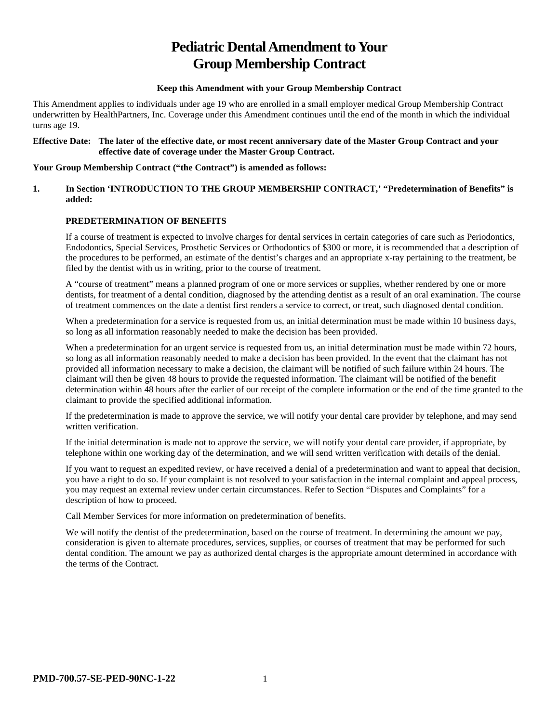# **Pediatric Dental Amendment to Your Group Membership Contract**

#### **Keep this Amendment with your Group Membership Contract**

This Amendment applies to individuals under age 19 who are enrolled in a small employer medical Group Membership Contract underwritten by HealthPartners, Inc. Coverage under this Amendment continues until the end of the month in which the individual turns age 19.

#### **Effective Date: The later of the effective date, or most recent anniversary date of the Master Group Contract and your effective date of coverage under the Master Group Contract.**

#### **Your Group Membership Contract ("the Contract") is amended as follows:**

#### **1. In Section 'INTRODUCTION TO THE GROUP MEMBERSHIP CONTRACT,' "Predetermination of Benefits" is added:**

# **PREDETERMINATION OF BENEFITS**

If a course of treatment is expected to involve charges for dental services in certain categories of care such as Periodontics, Endodontics, Special Services, Prosthetic Services or Orthodontics of \$300 or more, it is recommended that a description of the procedures to be performed, an estimate of the dentist's charges and an appropriate x-ray pertaining to the treatment, be filed by the dentist with us in writing, prior to the course of treatment.

A "course of treatment" means a planned program of one or more services or supplies, whether rendered by one or more dentists, for treatment of a dental condition, diagnosed by the attending dentist as a result of an oral examination. The course of treatment commences on the date a dentist first renders a service to correct, or treat, such diagnosed dental condition.

When a predetermination for a service is requested from us, an initial determination must be made within 10 business days, so long as all information reasonably needed to make the decision has been provided.

When a predetermination for an urgent service is requested from us, an initial determination must be made within 72 hours, so long as all information reasonably needed to make a decision has been provided. In the event that the claimant has not provided all information necessary to make a decision, the claimant will be notified of such failure within 24 hours. The claimant will then be given 48 hours to provide the requested information. The claimant will be notified of the benefit determination within 48 hours after the earlier of our receipt of the complete information or the end of the time granted to the claimant to provide the specified additional information.

If the predetermination is made to approve the service, we will notify your dental care provider by telephone, and may send written verification.

If the initial determination is made not to approve the service, we will notify your dental care provider, if appropriate, by telephone within one working day of the determination, and we will send written verification with details of the denial.

If you want to request an expedited review, or have received a denial of a predetermination and want to appeal that decision, you have a right to do so. If your complaint is not resolved to your satisfaction in the internal complaint and appeal process, you may request an external review under certain circumstances. Refer to Section "Disputes and Complaints" for a description of how to proceed.

Call Member Services for more information on predetermination of benefits.

We will notify the dentist of the predetermination, based on the course of treatment. In determining the amount we pay, consideration is given to alternate procedures, services, supplies, or courses of treatment that may be performed for such dental condition. The amount we pay as authorized dental charges is the appropriate amount determined in accordance with the terms of the Contract.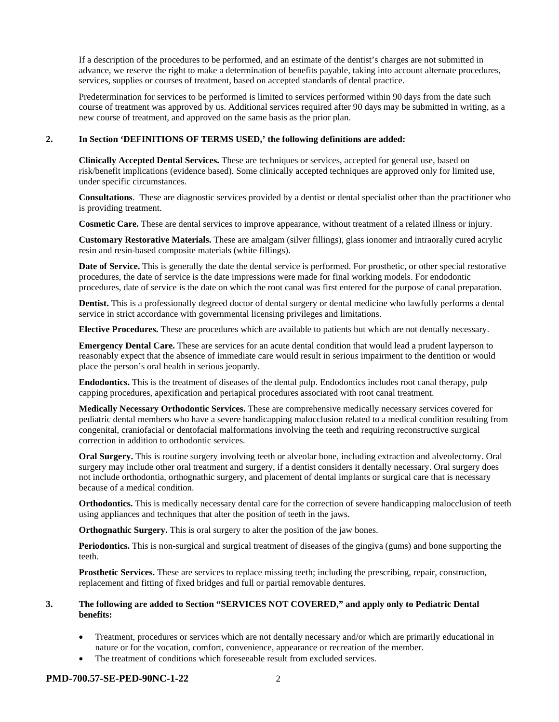If a description of the procedures to be performed, and an estimate of the dentist's charges are not submitted in advance, we reserve the right to make a determination of benefits payable, taking into account alternate procedures, services, supplies or courses of treatment, based on accepted standards of dental practice.

Predetermination for services to be performed is limited to services performed within 90 days from the date such course of treatment was approved by us. Additional services required after 90 days may be submitted in writing, as a new course of treatment, and approved on the same basis as the prior plan.

#### **2. In Section 'DEFINITIONS OF TERMS USED,' the following definitions are added:**

**Clinically Accepted Dental Services.** These are techniques or services, accepted for general use, based on risk/benefit implications (evidence based). Some clinically accepted techniques are approved only for limited use, under specific circumstances.

**Consultations**. These are diagnostic services provided by a dentist or dental specialist other than the practitioner who is providing treatment.

**Cosmetic Care.** These are dental services to improve appearance, without treatment of a related illness or injury.

**Customary Restorative Materials.** These are amalgam (silver fillings), glass ionomer and intraorally cured acrylic resin and resin-based composite materials (white fillings).

**Date of Service.** This is generally the date the dental service is performed. For prosthetic, or other special restorative procedures, the date of service is the date impressions were made for final working models. For endodontic procedures, date of service is the date on which the root canal was first entered for the purpose of canal preparation.

**Dentist.** This is a professionally degreed doctor of dental surgery or dental medicine who lawfully performs a dental service in strict accordance with governmental licensing privileges and limitations.

**Elective Procedures.** These are procedures which are available to patients but which are not dentally necessary.

**Emergency Dental Care.** These are services for an acute dental condition that would lead a prudent layperson to reasonably expect that the absence of immediate care would result in serious impairment to the dentition or would place the person's oral health in serious jeopardy.

**Endodontics.** This is the treatment of diseases of the dental pulp. Endodontics includes root canal therapy, pulp capping procedures, apexification and periapical procedures associated with root canal treatment.

**Medically Necessary Orthodontic Services.** These are comprehensive medically necessary services covered for pediatric dental members who have a severe handicapping malocclusion related to a medical condition resulting from congenital, craniofacial or dentofacial malformations involving the teeth and requiring reconstructive surgical correction in addition to orthodontic services.

**Oral Surgery.** This is routine surgery involving teeth or alveolar bone, including extraction and alveolectomy. Oral surgery may include other oral treatment and surgery, if a dentist considers it dentally necessary. Oral surgery does not include orthodontia, orthognathic surgery, and placement of dental implants or surgical care that is necessary because of a medical condition.

**Orthodontics.** This is medically necessary dental care for the correction of severe handicapping malocclusion of teeth using appliances and techniques that alter the position of teeth in the jaws.

**Orthognathic Surgery.** This is oral surgery to alter the position of the jaw bones.

**Periodontics.** This is non-surgical and surgical treatment of diseases of the gingiva (gums) and bone supporting the teeth.

**Prosthetic Services.** These are services to replace missing teeth; including the prescribing, repair, construction, replacement and fitting of fixed bridges and full or partial removable dentures.

#### **3. The following are added to Section "SERVICES NOT COVERED," and apply only to Pediatric Dental benefits:**

- Treatment, procedures or services which are not dentally necessary and/or which are primarily educational in nature or for the vocation, comfort, convenience, appearance or recreation of the member.
- The treatment of conditions which foreseeable result from excluded services.

#### **PMD-700.57-SE-PED-90NC-1-22** 2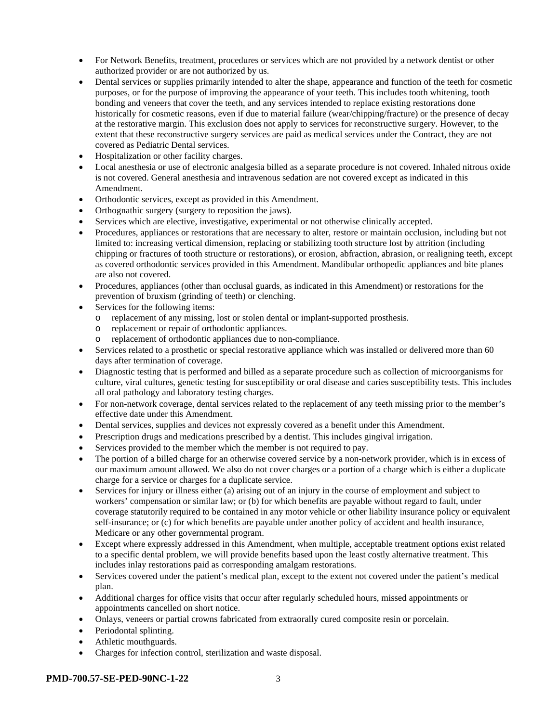- For Network Benefits, treatment, procedures or services which are not provided by a network dentist or other authorized provider or are not authorized by us.
- Dental services or supplies primarily intended to alter the shape, appearance and function of the teeth for cosmetic purposes, or for the purpose of improving the appearance of your teeth. This includes tooth whitening, tooth bonding and veneers that cover the teeth, and any services intended to replace existing restorations done historically for cosmetic reasons, even if due to material failure (wear/chipping/fracture) or the presence of decay at the restorative margin. This exclusion does not apply to services for reconstructive surgery. However, to the extent that these reconstructive surgery services are paid as medical services under the Contract, they are not covered as Pediatric Dental services.
- Hospitalization or other facility charges.
- Local anesthesia or use of electronic analgesia billed as a separate procedure is not covered. Inhaled nitrous oxide is not covered. General anesthesia and intravenous sedation are not covered except as indicated in this Amendment.
- Orthodontic services, except as provided in this Amendment.
- Orthognathic surgery (surgery to reposition the jaws).
- Services which are elective, investigative, experimental or not otherwise clinically accepted.
- Procedures, appliances or restorations that are necessary to alter, restore or maintain occlusion, including but not limited to: increasing vertical dimension, replacing or stabilizing tooth structure lost by attrition (including chipping or fractures of tooth structure or restorations), or erosion, abfraction, abrasion, or realigning teeth, except as covered orthodontic services provided in this Amendment. Mandibular orthopedic appliances and bite planes are also not covered.
- Procedures, appliances (other than occlusal guards, as indicated in this Amendment) or restorations for the prevention of bruxism (grinding of teeth) or clenching.
- Services for the following items:
	- o replacement of any missing, lost or stolen dental or implant-supported prosthesis.
	- o replacement or repair of orthodontic appliances.
	- o replacement of orthodontic appliances due to non-compliance.
- Services related to a prosthetic or special restorative appliance which was installed or delivered more than 60 days after termination of coverage.
- Diagnostic testing that is performed and billed as a separate procedure such as collection of microorganisms for culture, viral cultures, genetic testing for susceptibility or oral disease and caries susceptibility tests. This includes all oral pathology and laboratory testing charges.
- For non-network coverage, dental services related to the replacement of any teeth missing prior to the member's effective date under this Amendment.
- Dental services, supplies and devices not expressly covered as a benefit under this Amendment.
- Prescription drugs and medications prescribed by a dentist. This includes gingival irrigation.
- Services provided to the member which the member is not required to pay.
- The portion of a billed charge for an otherwise covered service by a non-network provider, which is in excess of our maximum amount allowed. We also do not cover charges or a portion of a charge which is either a duplicate charge for a service or charges for a duplicate service.
- Services for injury or illness either (a) arising out of an injury in the course of employment and subject to workers' compensation or similar law; or (b) for which benefits are payable without regard to fault, under coverage statutorily required to be contained in any motor vehicle or other liability insurance policy or equivalent self-insurance; or (c) for which benefits are payable under another policy of accident and health insurance, Medicare or any other governmental program.
- Except where expressly addressed in this Amendment, when multiple, acceptable treatment options exist related to a specific dental problem, we will provide benefits based upon the least costly alternative treatment. This includes inlay restorations paid as corresponding amalgam restorations.
- Services covered under the patient's medical plan, except to the extent not covered under the patient's medical plan.
- Additional charges for office visits that occur after regularly scheduled hours, missed appointments or appointments cancelled on short notice.
- Onlays, veneers or partial crowns fabricated from extraorally cured composite resin or porcelain.
- Periodontal splinting.
- Athletic mouthguards.
- Charges for infection control, sterilization and waste disposal.

#### **PMD-700.57-SE-PED-90NC-1-22** 3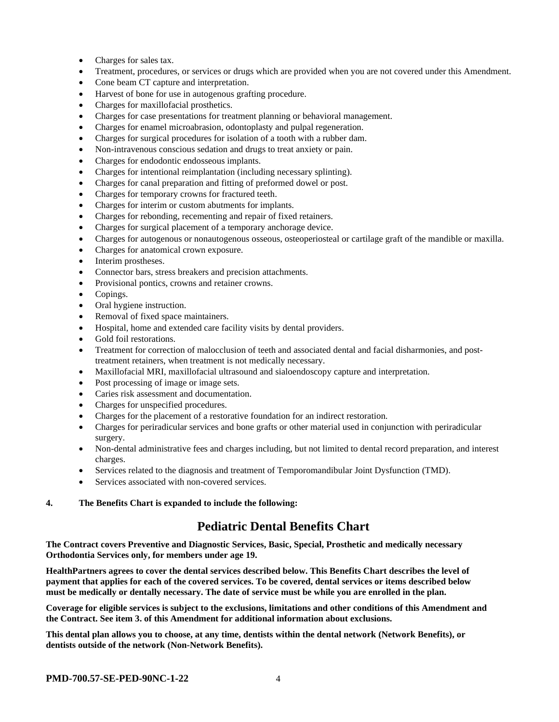- Charges for sales tax.
- Treatment, procedures, or services or drugs which are provided when you are not covered under this Amendment.
- Cone beam CT capture and interpretation.
- Harvest of bone for use in autogenous grafting procedure.
- Charges for maxillofacial prosthetics.
- Charges for case presentations for treatment planning or behavioral management.
- Charges for enamel microabrasion, odontoplasty and pulpal regeneration.
- Charges for surgical procedures for isolation of a tooth with a rubber dam.
- Non-intravenous conscious sedation and drugs to treat anxiety or pain.
- Charges for endodontic endosseous implants.
- Charges for intentional reimplantation (including necessary splinting).
- Charges for canal preparation and fitting of preformed dowel or post.
- Charges for temporary crowns for fractured teeth.
- Charges for interim or custom abutments for implants.
- Charges for rebonding, recementing and repair of fixed retainers.
- Charges for surgical placement of a temporary anchorage device.
- Charges for autogenous or nonautogenous osseous, osteoperiosteal or cartilage graft of the mandible or maxilla.
- Charges for anatomical crown exposure.
- Interim prostheses.
- Connector bars, stress breakers and precision attachments.
- Provisional pontics, crowns and retainer crowns.
- Copings.
- Oral hygiene instruction.
- Removal of fixed space maintainers.
- Hospital, home and extended care facility visits by dental providers.
- Gold foil restorations.
- Treatment for correction of malocclusion of teeth and associated dental and facial disharmonies, and posttreatment retainers, when treatment is not medically necessary.
- Maxillofacial MRI, maxillofacial ultrasound and sialoendoscopy capture and interpretation.
- Post processing of image or image sets.
- Caries risk assessment and documentation.
- Charges for unspecified procedures.
- Charges for the placement of a restorative foundation for an indirect restoration.
- Charges for periradicular services and bone grafts or other material used in conjunction with periradicular surgery.
- Non-dental administrative fees and charges including, but not limited to dental record preparation, and interest charges.
- Services related to the diagnosis and treatment of Temporomandibular Joint Dysfunction (TMD).
- Services associated with non-covered services.

#### **4. The Benefits Chart is expanded to include the following:**

# **Pediatric Dental Benefits Chart**

**The Contract covers Preventive and Diagnostic Services, Basic, Special, Prosthetic and medically necessary Orthodontia Services only, for members under age 19.**

**HealthPartners agrees to cover the dental services described below. This Benefits Chart describes the level of payment that applies for each of the covered services. To be covered, dental services or items described below must be medically or dentally necessary. The date of service must be while you are enrolled in the plan.**

**Coverage for eligible services is subject to the exclusions, limitations and other conditions of this Amendment and the Contract. See item 3. of this Amendment for additional information about exclusions.**

**This dental plan allows you to choose, at any time, dentists within the dental network (Network Benefits), or dentists outside of the network (Non-Network Benefits).**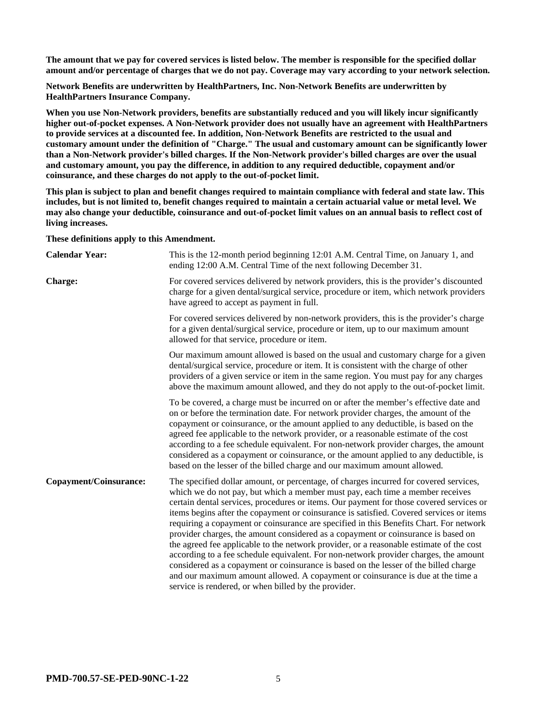**The amount that we pay for covered services is listed below. The member is responsible for the specified dollar amount and/or percentage of charges that we do not pay. Coverage may vary according to your network selection.**

**Network Benefits are underwritten by HealthPartners, Inc. Non-Network Benefits are underwritten by HealthPartners Insurance Company.**

**When you use Non-Network providers, benefits are substantially reduced and you will likely incur significantly higher out-of-pocket expenses. A Non-Network provider does not usually have an agreement with HealthPartners to provide services at a discounted fee. In addition, Non-Network Benefits are restricted to the usual and customary amount under the definition of "Charge." The usual and customary amount can be significantly lower than a Non-Network provider's billed charges. If the Non-Network provider's billed charges are over the usual and customary amount, you pay the difference, in addition to any required deductible, copayment and/or coinsurance, and these charges do not apply to the out-of-pocket limit.**

**This plan is subject to plan and benefit changes required to maintain compliance with federal and state law. This includes, but is not limited to, benefit changes required to maintain a certain actuarial value or metal level. We may also change your deductible, coinsurance and out-of-pocket limit values on an annual basis to reflect cost of living increases.**

**These definitions apply to this Amendment.**

| <b>Calendar Year:</b>  | This is the 12-month period beginning 12:01 A.M. Central Time, on January 1, and<br>ending 12:00 A.M. Central Time of the next following December 31.                                                                                                                                                                                                                                                                                                                                                                                                                                                                                                                                                                                                                                                                                                                                                                                                             |
|------------------------|-------------------------------------------------------------------------------------------------------------------------------------------------------------------------------------------------------------------------------------------------------------------------------------------------------------------------------------------------------------------------------------------------------------------------------------------------------------------------------------------------------------------------------------------------------------------------------------------------------------------------------------------------------------------------------------------------------------------------------------------------------------------------------------------------------------------------------------------------------------------------------------------------------------------------------------------------------------------|
| <b>Charge:</b>         | For covered services delivered by network providers, this is the provider's discounted<br>charge for a given dental/surgical service, procedure or item, which network providers<br>have agreed to accept as payment in full.                                                                                                                                                                                                                                                                                                                                                                                                                                                                                                                                                                                                                                                                                                                                     |
|                        | For covered services delivered by non-network providers, this is the provider's charge<br>for a given dental/surgical service, procedure or item, up to our maximum amount<br>allowed for that service, procedure or item.                                                                                                                                                                                                                                                                                                                                                                                                                                                                                                                                                                                                                                                                                                                                        |
|                        | Our maximum amount allowed is based on the usual and customary charge for a given<br>dental/surgical service, procedure or item. It is consistent with the charge of other<br>providers of a given service or item in the same region. You must pay for any charges<br>above the maximum amount allowed, and they do not apply to the out-of-pocket limit.                                                                                                                                                                                                                                                                                                                                                                                                                                                                                                                                                                                                        |
|                        | To be covered, a charge must be incurred on or after the member's effective date and<br>on or before the termination date. For network provider charges, the amount of the<br>copayment or coinsurance, or the amount applied to any deductible, is based on the<br>agreed fee applicable to the network provider, or a reasonable estimate of the cost<br>according to a fee schedule equivalent. For non-network provider charges, the amount<br>considered as a copayment or coinsurance, or the amount applied to any deductible, is<br>based on the lesser of the billed charge and our maximum amount allowed.                                                                                                                                                                                                                                                                                                                                              |
| Copayment/Coinsurance: | The specified dollar amount, or percentage, of charges incurred for covered services,<br>which we do not pay, but which a member must pay, each time a member receives<br>certain dental services, procedures or items. Our payment for those covered services or<br>items begins after the copayment or coinsurance is satisfied. Covered services or items<br>requiring a copayment or coinsurance are specified in this Benefits Chart. For network<br>provider charges, the amount considered as a copayment or coinsurance is based on<br>the agreed fee applicable to the network provider, or a reasonable estimate of the cost<br>according to a fee schedule equivalent. For non-network provider charges, the amount<br>considered as a copayment or coinsurance is based on the lesser of the billed charge<br>and our maximum amount allowed. A copayment or coinsurance is due at the time a<br>service is rendered, or when billed by the provider. |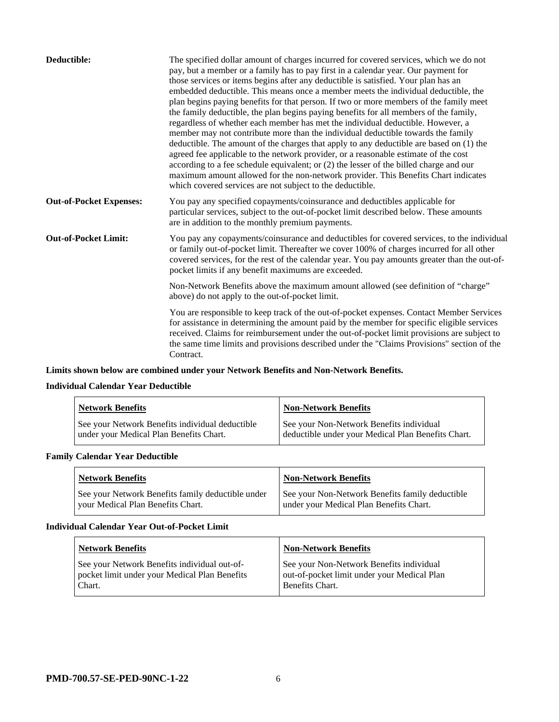| Deductible:                    | The specified dollar amount of charges incurred for covered services, which we do not<br>pay, but a member or a family has to pay first in a calendar year. Our payment for<br>those services or items begins after any deductible is satisfied. Your plan has an<br>embedded deductible. This means once a member meets the individual deductible, the<br>plan begins paying benefits for that person. If two or more members of the family meet<br>the family deductible, the plan begins paying benefits for all members of the family,<br>regardless of whether each member has met the individual deductible. However, a<br>member may not contribute more than the individual deductible towards the family<br>deductible. The amount of the charges that apply to any deductible are based on (1) the<br>agreed fee applicable to the network provider, or a reasonable estimate of the cost<br>according to a fee schedule equivalent; or (2) the lesser of the billed charge and our<br>maximum amount allowed for the non-network provider. This Benefits Chart indicates<br>which covered services are not subject to the deductible. |
|--------------------------------|--------------------------------------------------------------------------------------------------------------------------------------------------------------------------------------------------------------------------------------------------------------------------------------------------------------------------------------------------------------------------------------------------------------------------------------------------------------------------------------------------------------------------------------------------------------------------------------------------------------------------------------------------------------------------------------------------------------------------------------------------------------------------------------------------------------------------------------------------------------------------------------------------------------------------------------------------------------------------------------------------------------------------------------------------------------------------------------------------------------------------------------------------|
| <b>Out-of-Pocket Expenses:</b> | You pay any specified copayments/coinsurance and deductibles applicable for<br>particular services, subject to the out-of-pocket limit described below. These amounts<br>are in addition to the monthly premium payments.                                                                                                                                                                                                                                                                                                                                                                                                                                                                                                                                                                                                                                                                                                                                                                                                                                                                                                                        |
| <b>Out-of-Pocket Limit:</b>    | You pay any copayments/coinsurance and deductibles for covered services, to the individual<br>or family out-of-pocket limit. Thereafter we cover 100% of charges incurred for all other<br>covered services, for the rest of the calendar year. You pay amounts greater than the out-of-<br>pocket limits if any benefit maximums are exceeded.                                                                                                                                                                                                                                                                                                                                                                                                                                                                                                                                                                                                                                                                                                                                                                                                  |
|                                | Non-Network Benefits above the maximum amount allowed (see definition of "charge"<br>above) do not apply to the out-of-pocket limit.                                                                                                                                                                                                                                                                                                                                                                                                                                                                                                                                                                                                                                                                                                                                                                                                                                                                                                                                                                                                             |
|                                | You are responsible to keep track of the out-of-pocket expenses. Contact Member Services<br>for assistance in determining the amount paid by the member for specific eligible services<br>received. Claims for reimbursement under the out-of-pocket limit provisions are subject to<br>the same time limits and provisions described under the "Claims Provisions" section of the<br>Contract.                                                                                                                                                                                                                                                                                                                                                                                                                                                                                                                                                                                                                                                                                                                                                  |

# **Limits shown below are combined under your Network Benefits and Non-Network Benefits.**

# **Individual Calendar Year Deductible**

| <b>Network Benefits</b>                                                                    | Non-Network Benefits                                                                           |
|--------------------------------------------------------------------------------------------|------------------------------------------------------------------------------------------------|
| See your Network Benefits individual deductible<br>under your Medical Plan Benefits Chart. | See your Non-Network Benefits individual<br>deductible under your Medical Plan Benefits Chart. |

# **Family Calendar Year Deductible**

| <b>Network Benefits</b>                                                                | <b>Non-Network Benefits</b>                                                                |
|----------------------------------------------------------------------------------------|--------------------------------------------------------------------------------------------|
| See your Network Benefits family deductible under<br>vour Medical Plan Benefits Chart. | See your Non-Network Benefits family deductible<br>under your Medical Plan Benefits Chart. |

#### **Individual Calendar Year Out-of-Pocket Limit**

| <b>Network Benefits</b>                                                                                 | <b>Non-Network Benefits</b>                                                                                |
|---------------------------------------------------------------------------------------------------------|------------------------------------------------------------------------------------------------------------|
| See your Network Benefits individual out-of-<br>pocket limit under your Medical Plan Benefits<br>Chart. | See your Non-Network Benefits individual<br>out-of-pocket limit under your Medical Plan<br>Benefits Chart. |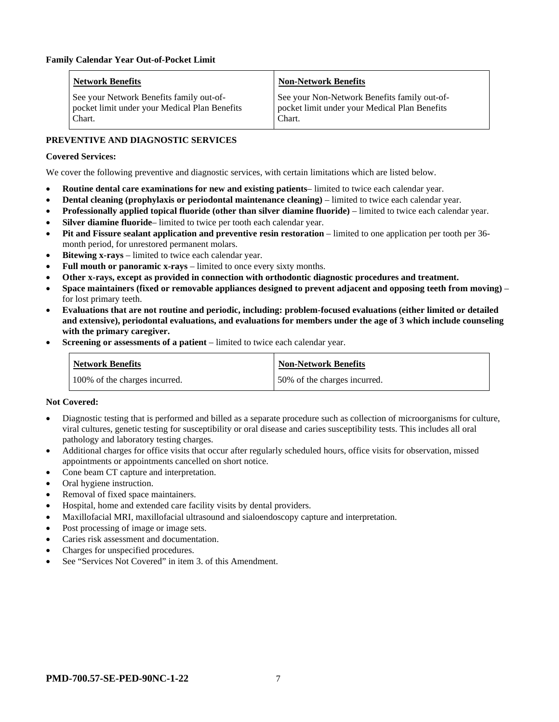| Network Benefits                                                                                    | <b>Non-Network Benefits</b>                                                                             |
|-----------------------------------------------------------------------------------------------------|---------------------------------------------------------------------------------------------------------|
| See your Network Benefits family out-of-<br>pocket limit under your Medical Plan Benefits<br>Chart. | See your Non-Network Benefits family out-of-<br>pocket limit under your Medical Plan Benefits<br>Chart. |

# **PREVENTIVE AND DIAGNOSTIC SERVICES**

# **Covered Services:**

We cover the following preventive and diagnostic services, with certain limitations which are listed below.

- **Routine dental care examinations for new and existing patients** limited to twice each calendar year.
- **Dental cleaning (prophylaxis or periodontal maintenance cleaning)** limited to twice each calendar year.
- **Professionally applied topical fluoride (other than silver diamine fluoride)** limited to twice each calendar year.
- **Silver diamine fluoride** limited to twice per tooth each calendar year.
- **Pit and Fissure sealant application and preventive resin restoration** limited to one application per tooth per 36 month period, for unrestored permanent molars.
- **Bitewing x-rays** limited to twice each calendar year.
- **Full mouth or panoramic x-rays** limited to once every sixty months.
- **Other x-rays, except as provided in connection with orthodontic diagnostic procedures and treatment.**
- **Space maintainers (fixed or removable appliances designed to prevent adjacent and opposing teeth from moving)** for lost primary teeth.
- **Evaluations that are not routine and periodic, including: problem-focused evaluations (either limited or detailed and extensive), periodontal evaluations, and evaluations for members under the age of 3 which include counseling with the primary caregiver.**
- **Screening or assessments of a patient** limited to twice each calendar year.

| <b>Network Benefits</b>       | Non-Network Benefits          |
|-------------------------------|-------------------------------|
| 100% of the charges incurred. | 150% of the charges incurred. |

# **Not Covered:**

- Diagnostic testing that is performed and billed as a separate procedure such as collection of microorganisms for culture, viral cultures, genetic testing for susceptibility or oral disease and caries susceptibility tests. This includes all oral pathology and laboratory testing charges.
- Additional charges for office visits that occur after regularly scheduled hours, office visits for observation, missed appointments or appointments cancelled on short notice.
- Cone beam CT capture and interpretation.
- Oral hygiene instruction.
- Removal of fixed space maintainers.
- Hospital, home and extended care facility visits by dental providers.
- Maxillofacial MRI, maxillofacial ultrasound and sialoendoscopy capture and interpretation.
- Post processing of image or image sets.
- Caries risk assessment and documentation.
- Charges for unspecified procedures.
- See "Services Not Covered" in item 3. of this Amendment.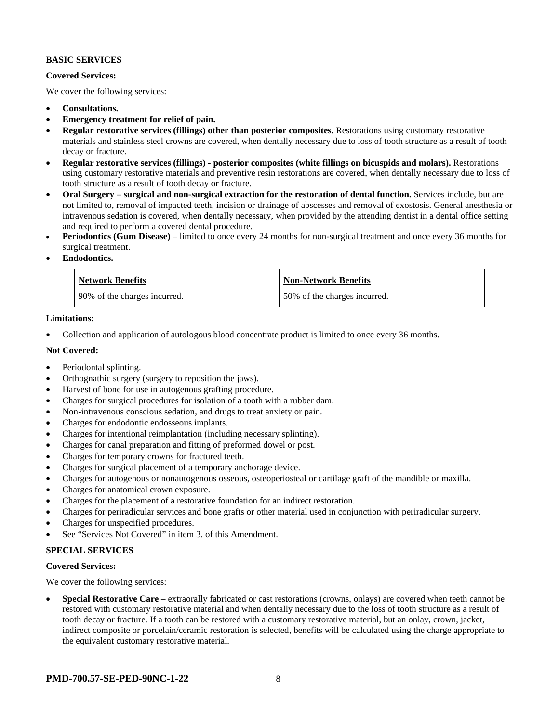#### **BASIC SERVICES**

#### **Covered Services:**

We cover the following services:

- **Consultations.**
- **Emergency treatment for relief of pain.**
- **Regular restorative services (fillings) other than posterior composites.** Restorations using customary restorative materials and stainless steel crowns are covered, when dentally necessary due to loss of tooth structure as a result of tooth decay or fracture.
- **Regular restorative services (fillings) - posterior composites (white fillings on bicuspids and molars).** Restorations using customary restorative materials and preventive resin restorations are covered, when dentally necessary due to loss of tooth structure as a result of tooth decay or fracture.
- **Oral Surgery – surgical and non-surgical extraction for the restoration of dental function.** Services include, but are not limited to, removal of impacted teeth, incision or drainage of abscesses and removal of exostosis. General anesthesia or intravenous sedation is covered, when dentally necessary, when provided by the attending dentist in a dental office setting and required to perform a covered dental procedure.
- **Periodontics (Gum Disease)** limited to once every 24 months for non-surgical treatment and once every 36 months for surgical treatment.
- **Endodontics.**

| <b>Network Benefits</b>        | <b>Non-Network Benefits</b>  |
|--------------------------------|------------------------------|
| 1 90% of the charges incurred. | 50% of the charges incurred. |

#### **Limitations:**

• Collection and application of autologous blood concentrate product is limited to once every 36 months.

#### **Not Covered:**

- Periodontal splinting.
- Orthognathic surgery (surgery to reposition the jaws).
- Harvest of bone for use in autogenous grafting procedure.
- Charges for surgical procedures for isolation of a tooth with a rubber dam.
- Non-intravenous conscious sedation, and drugs to treat anxiety or pain.
- Charges for endodontic endosseous implants.
- Charges for intentional reimplantation (including necessary splinting).
- Charges for canal preparation and fitting of preformed dowel or post.
- Charges for temporary crowns for fractured teeth.
- Charges for surgical placement of a temporary anchorage device.
- Charges for autogenous or nonautogenous osseous, osteoperiosteal or cartilage graft of the mandible or maxilla.
- Charges for anatomical crown exposure.
- Charges for the placement of a restorative foundation for an indirect restoration.
- Charges for periradicular services and bone grafts or other material used in conjunction with periradicular surgery.
- Charges for unspecified procedures.
- See "Services Not Covered" in item 3. of this Amendment.

#### **SPECIAL SERVICES**

#### **Covered Services:**

We cover the following services:

• **Special Restorative Care** – extraorally fabricated or cast restorations (crowns, onlays) are covered when teeth cannot be restored with customary restorative material and when dentally necessary due to the loss of tooth structure as a result of tooth decay or fracture. If a tooth can be restored with a customary restorative material, but an onlay, crown, jacket, indirect composite or porcelain/ceramic restoration is selected, benefits will be calculated using the charge appropriate to the equivalent customary restorative material.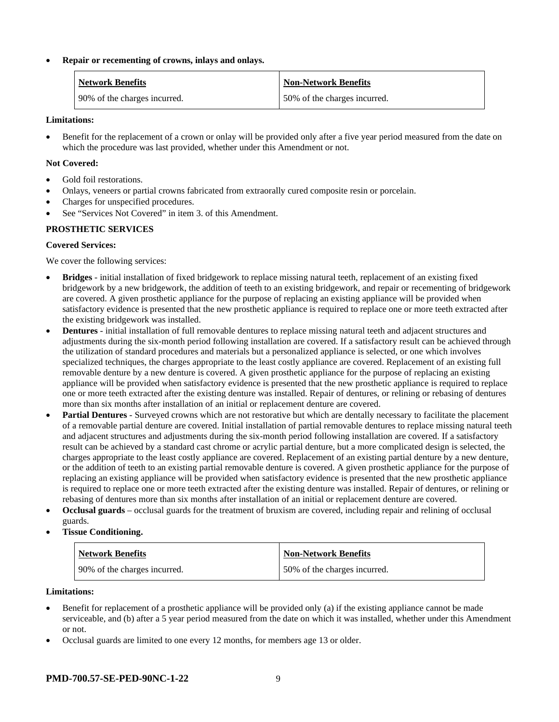#### • **Repair or recementing of crowns, inlays and onlays.**

| <b>Network Benefits</b>      | <b>Non-Network Benefits</b>  |
|------------------------------|------------------------------|
| 90% of the charges incurred. | 50% of the charges incurred. |

#### **Limitations:**

• Benefit for the replacement of a crown or onlay will be provided only after a five year period measured from the date on which the procedure was last provided, whether under this Amendment or not.

#### **Not Covered:**

- Gold foil restorations.
- Onlays, veneers or partial crowns fabricated from extraorally cured composite resin or porcelain.
- Charges for unspecified procedures.
- See "Services Not Covered" in item 3. of this Amendment.

# **PROSTHETIC SERVICES**

# **Covered Services:**

We cover the following services:

- **Bridges** initial installation of fixed bridgework to replace missing natural teeth, replacement of an existing fixed bridgework by a new bridgework, the addition of teeth to an existing bridgework, and repair or recementing of bridgework are covered. A given prosthetic appliance for the purpose of replacing an existing appliance will be provided when satisfactory evidence is presented that the new prosthetic appliance is required to replace one or more teeth extracted after the existing bridgework was installed.
- **Dentures** initial installation of full removable dentures to replace missing natural teeth and adjacent structures and adjustments during the six-month period following installation are covered. If a satisfactory result can be achieved through the utilization of standard procedures and materials but a personalized appliance is selected, or one which involves specialized techniques, the charges appropriate to the least costly appliance are covered. Replacement of an existing full removable denture by a new denture is covered. A given prosthetic appliance for the purpose of replacing an existing appliance will be provided when satisfactory evidence is presented that the new prosthetic appliance is required to replace one or more teeth extracted after the existing denture was installed. Repair of dentures, or relining or rebasing of dentures more than six months after installation of an initial or replacement denture are covered.
- **Partial Dentures** Surveyed crowns which are not restorative but which are dentally necessary to facilitate the placement of a removable partial denture are covered. Initial installation of partial removable dentures to replace missing natural teeth and adjacent structures and adjustments during the six-month period following installation are covered. If a satisfactory result can be achieved by a standard cast chrome or acrylic partial denture, but a more complicated design is selected, the charges appropriate to the least costly appliance are covered. Replacement of an existing partial denture by a new denture, or the addition of teeth to an existing partial removable denture is covered. A given prosthetic appliance for the purpose of replacing an existing appliance will be provided when satisfactory evidence is presented that the new prosthetic appliance is required to replace one or more teeth extracted after the existing denture was installed. Repair of dentures, or relining or rebasing of dentures more than six months after installation of an initial or replacement denture are covered.
- **Occlusal guards** occlusal guards for the treatment of bruxism are covered, including repair and relining of occlusal guards.
- **Tissue Conditioning.**

| <b>Network Benefits</b>      | <b>Non-Network Benefits</b>  |
|------------------------------|------------------------------|
| 90% of the charges incurred. | 50% of the charges incurred. |

#### **Limitations:**

- Benefit for replacement of a prosthetic appliance will be provided only (a) if the existing appliance cannot be made serviceable, and (b) after a 5 year period measured from the date on which it was installed, whether under this Amendment or not.
- Occlusal guards are limited to one every 12 months, for members age 13 or older.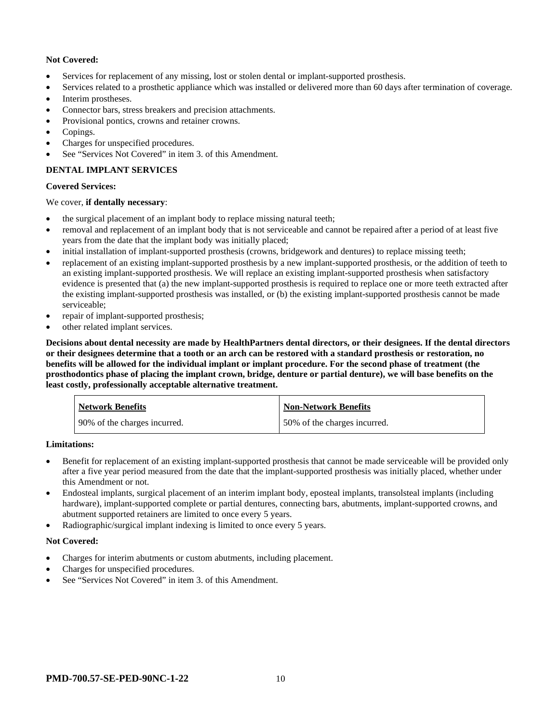# **Not Covered:**

- Services for replacement of any missing, lost or stolen dental or implant-supported prosthesis.
- Services related to a prosthetic appliance which was installed or delivered more than 60 days after termination of coverage.
- Interim prostheses.
- Connector bars, stress breakers and precision attachments.
- Provisional pontics, crowns and retainer crowns.
- Copings.
- Charges for unspecified procedures.
- See "Services Not Covered" in item 3. of this Amendment.

# **DENTAL IMPLANT SERVICES**

#### **Covered Services:**

#### We cover, **if dentally necessary**:

- the surgical placement of an implant body to replace missing natural teeth;
- removal and replacement of an implant body that is not serviceable and cannot be repaired after a period of at least five years from the date that the implant body was initially placed;
- initial installation of implant-supported prosthesis (crowns, bridgework and dentures) to replace missing teeth;
- replacement of an existing implant-supported prosthesis by a new implant-supported prosthesis, or the addition of teeth to an existing implant-supported prosthesis. We will replace an existing implant-supported prosthesis when satisfactory evidence is presented that (a) the new implant-supported prosthesis is required to replace one or more teeth extracted after the existing implant-supported prosthesis was installed, or (b) the existing implant-supported prosthesis cannot be made serviceable;
- repair of implant-supported prosthesis;
- other related implant services.

**Decisions about dental necessity are made by HealthPartners dental directors, or their designees. If the dental directors or their designees determine that a tooth or an arch can be restored with a standard prosthesis or restoration, no benefits will be allowed for the individual implant or implant procedure. For the second phase of treatment (the prosthodontics phase of placing the implant crown, bridge, denture or partial denture), we will base benefits on the least costly, professionally acceptable alternative treatment.**

| <b>Network Benefits</b>      | <b>Non-Network Benefits</b>  |
|------------------------------|------------------------------|
| 90% of the charges incurred. | 50% of the charges incurred. |

#### **Limitations:**

- Benefit for replacement of an existing implant-supported prosthesis that cannot be made serviceable will be provided only after a five year period measured from the date that the implant-supported prosthesis was initially placed, whether under this Amendment or not.
- Endosteal implants, surgical placement of an interim implant body, eposteal implants, transolsteal implants (including hardware), implant-supported complete or partial dentures, connecting bars, abutments, implant-supported crowns, and abutment supported retainers are limited to once every 5 years.
- Radiographic/surgical implant indexing is limited to once every 5 years.

#### **Not Covered:**

- Charges for interim abutments or custom abutments, including placement.
- Charges for unspecified procedures.
- See "Services Not Covered" in item 3, of this Amendment.